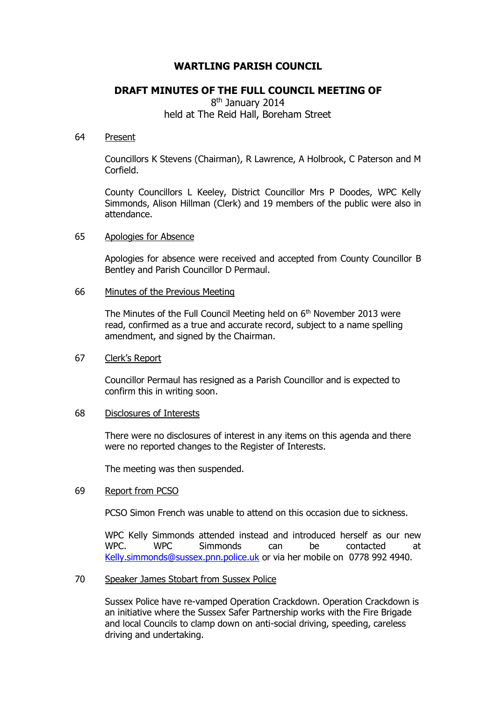# **WARTLING PARISH COUNCIL**

## **DRAFT MINUTES OF THE FULL COUNCIL MEETING OF**

8<sup>th</sup> January 2014 held at The Reid Hall, Boreham Street

#### 64 Present

Councillors K Stevens (Chairman), R Lawrence, A Holbrook, C Paterson and M Corfield.

County Councillors L Keeley, District Councillor Mrs P Doodes, WPC Kelly Simmonds, Alison Hillman (Clerk) and 19 members of the public were also in attendance.

### 65 Apologies for Absence

Apologies for absence were received and accepted from County Councillor B Bentley and Parish Councillor D Permaul.

#### 66 Minutes of the Previous Meeting

The Minutes of the Full Council Meeting held on  $6<sup>th</sup>$  November 2013 were read, confirmed as a true and accurate record, subject to a name spelling amendment, and signed by the Chairman.

### 67 Clerk's Report

Councillor Permaul has resigned as a Parish Councillor and is expected to confirm this in writing soon.

### 68 Disclosures of Interests

There were no disclosures of interest in any items on this agenda and there were no reported changes to the Register of Interests.

The meeting was then suspended.

#### 69 Report from PCSO

PCSO Simon French was unable to attend on this occasion due to sickness.

WPC Kelly Simmonds attended instead and introduced herself as our new WPC. WPC Simmonds can be contacted at [Kelly.simmonds@sussex.pnn.police.uk](mailto:Kelly.simmonds@sussex.pnn.police.uk) or via her mobile on 0778 992 4940.

### 70 Speaker James Stobart from Sussex Police

Sussex Police have re-vamped Operation Crackdown. Operation Crackdown is an initiative where the Sussex Safer Partnership works with the Fire Brigade and local Councils to clamp down on anti-social driving, speeding, careless driving and undertaking.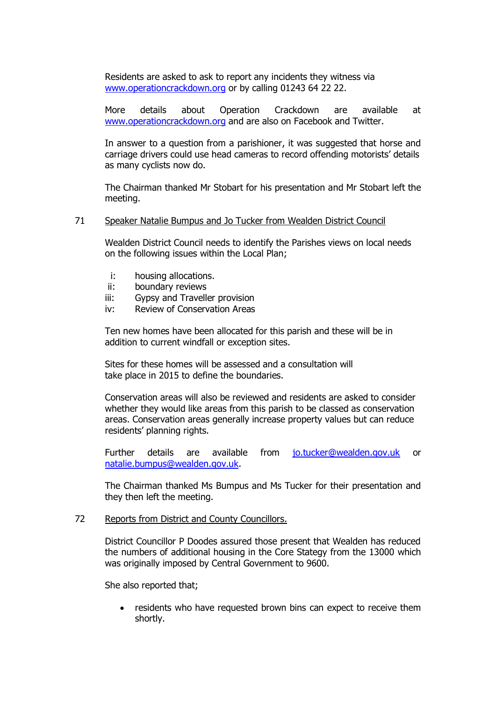Residents are asked to ask to report any incidents they witness via [www.operationcrackdown.org](http://www.operationcrackdown.org/) or by calling 01243 64 22 22.

More details about Operation Crackdown are available at [www.operationcrackdown.org](http://www.operationcrackdown.org/) and are also on Facebook and Twitter.

In answer to a question from a parishioner, it was suggested that horse and carriage drivers could use head cameras to record offending motorists' details as many cyclists now do.

The Chairman thanked Mr Stobart for his presentation and Mr Stobart left the meeting.

### 71 Speaker Natalie Bumpus and Jo Tucker from Wealden District Council

Wealden District Council needs to identify the Parishes views on local needs on the following issues within the Local Plan;

- i: housing allocations.
- ii: boundary reviews
- iii: Gypsy and Traveller provision
- iv: Review of Conservation Areas

Ten new homes have been allocated for this parish and these will be in addition to current windfall or exception sites.

Sites for these homes will be assessed and a consultation will take place in 2015 to define the boundaries.

Conservation areas will also be reviewed and residents are asked to consider whether they would like areas from this parish to be classed as conservation areas. Conservation areas generally increase property values but can reduce residents' planning rights.

Further details are available from [jo.tucker@wealden.gov.uk](mailto:jo.tucker@wealden.gov.uk) or [natalie.bumpus@wealden.gov.uk.](mailto:natalie.bumpus@wealden.gov.uk)

The Chairman thanked Ms Bumpus and Ms Tucker for their presentation and they then left the meeting.

## 72 Reports from District and County Councillors.

District Councillor P Doodes assured those present that Wealden has reduced the numbers of additional housing in the Core Stategy from the 13000 which was originally imposed by Central Government to 9600.

She also reported that;

 residents who have requested brown bins can expect to receive them shortly.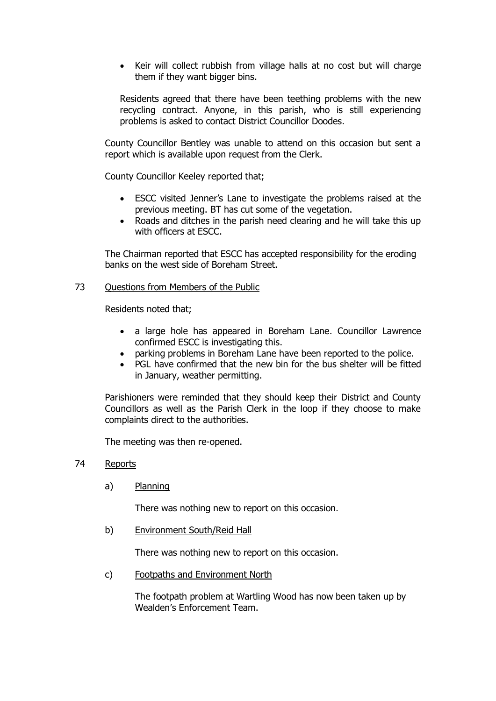Keir will collect rubbish from village halls at no cost but will charge them if they want bigger bins.

Residents agreed that there have been teething problems with the new recycling contract. Anyone, in this parish, who is still experiencing problems is asked to contact District Councillor Doodes.

County Councillor Bentley was unable to attend on this occasion but sent a report which is available upon request from the Clerk.

County Councillor Keeley reported that;

- ESCC visited Jenner's Lane to investigate the problems raised at the previous meeting. BT has cut some of the vegetation.
- Roads and ditches in the parish need clearing and he will take this up with officers at ESCC.

The Chairman reported that ESCC has accepted responsibility for the eroding banks on the west side of Boreham Street.

73 Ouestions from Members of the Public

Residents noted that;

- a large hole has appeared in Boreham Lane. Councillor Lawrence confirmed ESCC is investigating this.
- parking problems in Boreham Lane have been reported to the police.
- PGL have confirmed that the new bin for the bus shelter will be fitted in January, weather permitting.

Parishioners were reminded that they should keep their District and County Councillors as well as the Parish Clerk in the loop if they choose to make complaints direct to the authorities.

The meeting was then re-opened.

- 74 Reports
	- a) Planning

There was nothing new to report on this occasion.

b) Environment South/Reid Hall

There was nothing new to report on this occasion.

c) Footpaths and Environment North

The footpath problem at Wartling Wood has now been taken up by Wealden's Enforcement Team.